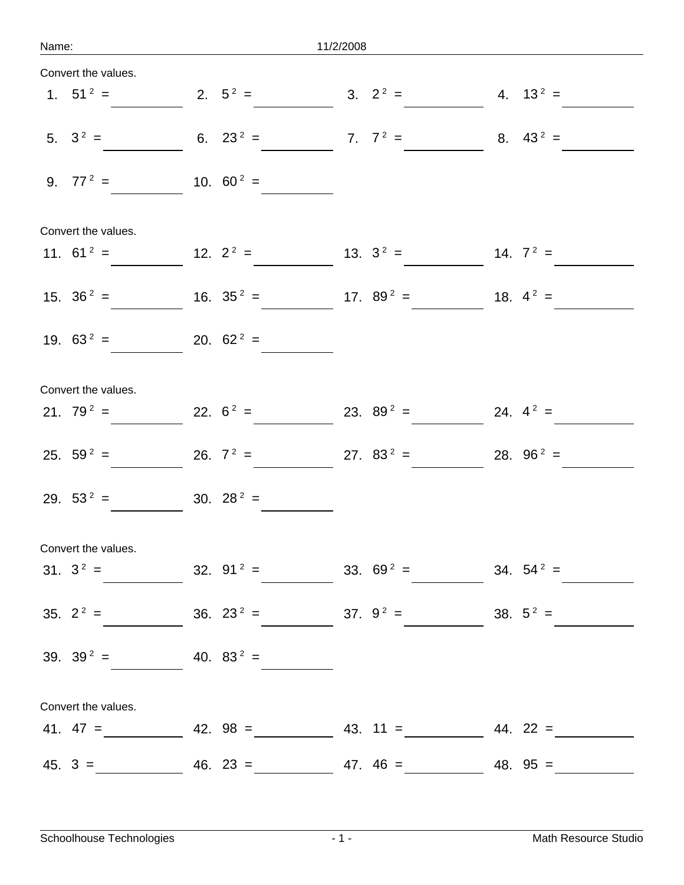| Name: |                        | 11/2/2008 |              |  |                                             |              |
|-------|------------------------|-----------|--------------|--|---------------------------------------------|--------------|
|       | Convert the values.    |           |              |  |                                             |              |
|       | 1. $51^2$ =            |           | 2. $5^2$ =   |  | 3. $2^2 =$                                  | 4. $13^2$ =  |
|       | 5. $3^2$ =             |           | 6. $23^2$ =  |  | 7. $7^2$ =                                  | 8. $43^2$ =  |
|       | 9. $77^2$ =            |           | 10. $60^2$ = |  |                                             |              |
|       | Convert the values.    |           |              |  |                                             |              |
|       | 11. $61^2$ =           |           | 12. $2^2 =$  |  | 13. $3^2$ =                                 | 14. $7^2$ =  |
|       | 15. $36^2$ =           |           | 16. $35^2$ = |  | 17. $89^2$ =                                | 18. $4^2$ =  |
|       | 19. $63^2$ =           |           | 20. $62^2$ = |  |                                             |              |
|       | Convert the values.    |           |              |  |                                             |              |
|       | 21. $79^2$ =           |           | 22. $6^2$ =  |  | 23. $89^2$ =                                | 24. $4^2$ =  |
|       | 25. $59^2$ =           |           | 26. $7^2$ =  |  | 27. $83^2$ =                                | 28. $96^2$ = |
|       | 29. $53^2$ =           |           | 30. $28^2$ = |  |                                             |              |
|       | Convert the values.    |           |              |  |                                             |              |
|       |                        |           |              |  | 31. $3^2 = 32.91^2 = 33.69^2 = 34.54^2 =$   |              |
|       |                        |           |              |  | 35. $2^2 = 36. 23^2 = 37. 9^2 = 38. 5^2 =$  |              |
|       | 39. $39^2 = 40.83^2 =$ |           |              |  |                                             |              |
|       | Convert the values.    |           |              |  |                                             |              |
|       |                        |           |              |  | 41. $47 =$ 42. $98 =$ 43. $11 =$ 44. $22 =$ |              |
|       |                        |           |              |  | $45. 3 =$ $46. 23 =$ $47. 46 =$ $48. 95 =$  |              |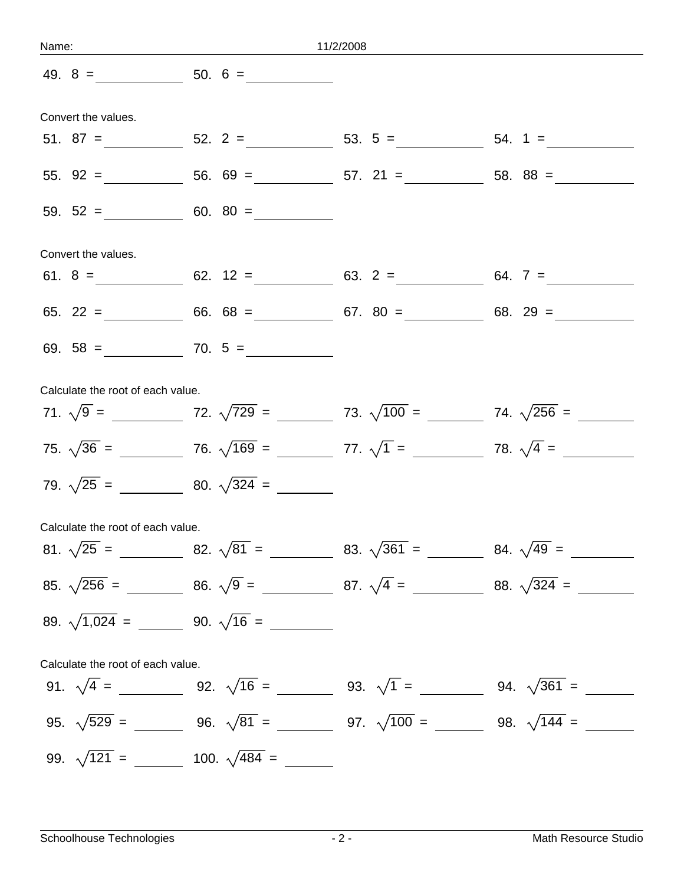|                                   |                       | Name: 11/2/2008 |                                                                              |  |  |
|-----------------------------------|-----------------------|-----------------|------------------------------------------------------------------------------|--|--|
|                                   |                       |                 |                                                                              |  |  |
| Convert the values.               |                       |                 |                                                                              |  |  |
|                                   |                       |                 |                                                                              |  |  |
|                                   |                       |                 |                                                                              |  |  |
|                                   | 59. $52 =$ 60. $80 =$ |                 |                                                                              |  |  |
| Convert the values.               |                       |                 |                                                                              |  |  |
|                                   |                       |                 |                                                                              |  |  |
|                                   |                       |                 |                                                                              |  |  |
|                                   |                       |                 |                                                                              |  |  |
| Calculate the root of each value. |                       |                 |                                                                              |  |  |
|                                   |                       |                 |                                                                              |  |  |
|                                   |                       |                 |                                                                              |  |  |
|                                   |                       |                 |                                                                              |  |  |
| Calculate the root of each value. |                       |                 |                                                                              |  |  |
|                                   |                       |                 |                                                                              |  |  |
|                                   |                       |                 | 85. $\sqrt{256}$ = 86. $\sqrt{9}$ = 87. $\sqrt{4}$ = 88. $\sqrt{324}$ = 9.1. |  |  |
|                                   |                       |                 |                                                                              |  |  |
| Calculate the root of each value. |                       |                 |                                                                              |  |  |
|                                   |                       |                 | 91. $\sqrt{4} =$ 92. $\sqrt{16} =$ 93. $\sqrt{1} =$ 94. $\sqrt{361} =$ 91.   |  |  |
|                                   |                       |                 |                                                                              |  |  |
|                                   |                       |                 |                                                                              |  |  |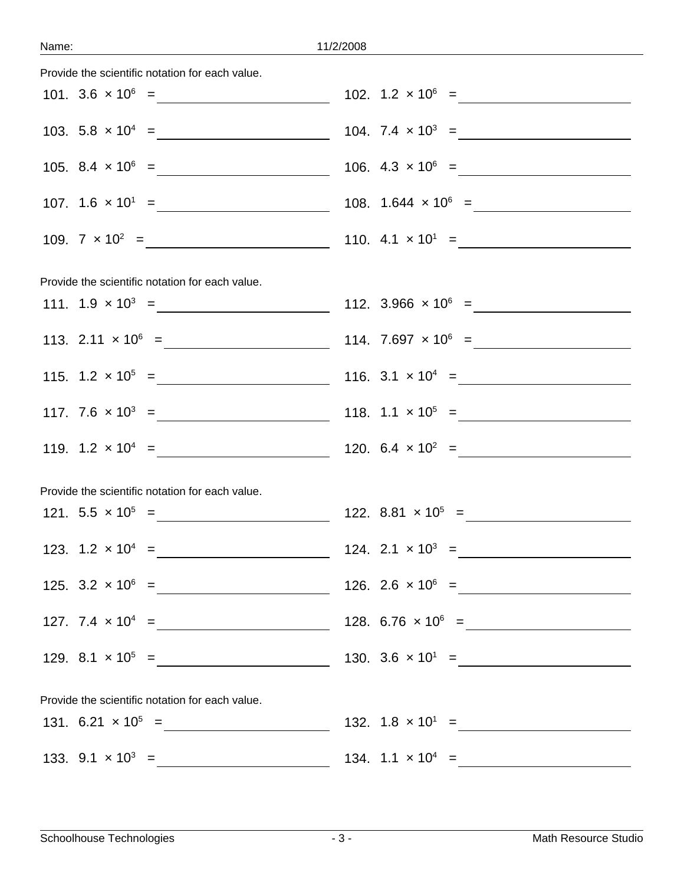| Provide the scientific notation for each value. |  |
|-------------------------------------------------|--|
|                                                 |  |
|                                                 |  |
|                                                 |  |
|                                                 |  |
|                                                 |  |
| Provide the scientific notation for each value. |  |
|                                                 |  |
|                                                 |  |
|                                                 |  |
|                                                 |  |
|                                                 |  |
| Provide the scientific notation for each value. |  |
|                                                 |  |
| 123. $1.2 \times 10^4 = 124. 2.1 \times 10^3 =$ |  |
|                                                 |  |
|                                                 |  |
|                                                 |  |
|                                                 |  |
| Provide the scientific notation for each value. |  |
|                                                 |  |
|                                                 |  |